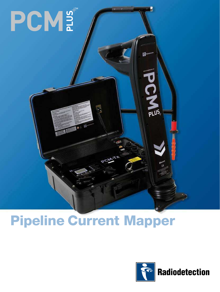# PCM#™

# Pipeline Current Mapper



ß.

o<br>P

 $\frac{1}{\text{PLUS}}$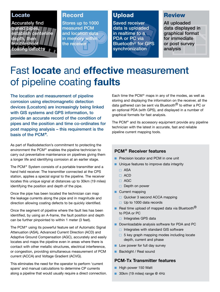# Locate

Accurately find buried pipes, establish centerline depth, then troubleshoot coating defects

# **Record**

Stores up to 1000 measured PCM and location data in memory within the receiver

# Upload

Saved receiver data is uploaded in realtime to a PDA or PC via Bluetooth® for GPS synchronization

# Review

All uploaded data displayed in graphical format for immediate or post survey analysis

# Fast **locate** and **effective** measurement of pipeline coating **faults**

The location and measurement of pipeline corrosion using electromagnetic detection devices (Locators) are increasingly being linked with GIS systems and GPS information, to provide an accurate record of the condition of pipes and the position and time co-ordinates for post mapping analysis – this requirement is the basis of the PCM+.

As part of Radiodetection's commitment to protecting the environment the PCM<sup>+</sup> enables the pipeline technician to carry out preventative maintenance on pipelines giving them a longer life and identifying corrosion at an earlier stage.

The PCM+ System consists of a portable transmitter and a hand held receiver. The transmitter connected at the CPS station, applies a special signal to the pipeline. The receiver locates this unique signal at distances up to 30km (19 miles) identifying the position and depth of the pipe.

Once the pipe has been located the technician can map the leakage currents along the pipe and in magnitude and direction allowing coating defects to be quickly identified.

Once the segment of pipeline where the fault lies has been identified, by using an A-frame, the fault position and depth can be further pinpointed to within 1 meter (3 feet).

The PCM+ using its powerful feature set of Automatic Signal Attenuation (ASA), Advanced Current Direction (ACD) and Adaptive Ground Compensation (AGC), accurately and easily locates and maps the pipeline even in areas where there is contact with other metallic structures, electrical interference, or congestion, providing simultaneous measurement of PCM current (ACCA) and Voltage Gradient (ACVG).

This eliminates the need for the operator to perform 'current spans' and manual calculations to determine CP currents along a pipeline that would usually require a direct connection.

Each time the  $PCM<sup>+</sup>$  maps in any of the modes, as well as storing and displaying the information on the receiver, all the data gathered can be sent via Bluetooth<sup>®</sup> to either a PC or an optional PDA (with GPS), and displayed in a number of graphical formats for fast analysis.

The PCM<sup>+</sup> and its accessory equipment provide any pipeline technician with the latest in accurate, fast and reliable pipeline current mapping tools.

# **PCM+ Receiver features**

- **n** Precision locator and PCM in one unit
- **n** Unique features to improve data integrity
	- □ ASA
	- □ ACD
	- $\Box$  AGC
	- $\Box$  Depth on power
- $\blacksquare$  Current mapping
	- □ Quicker 3 second ACCA mapping
	- $\Box$  Up to 1000 data records
- Real time upload of mapped data via Bluetooth<sup>®</sup> to PDA or PC
	- $\Box$  Integrates GPS data
- Downloadable analysis software for PDA and PC
	- $\Box$  Integrates with standard GIS software
	- $\Box$  5 key graph mapping modes including locate depth, current and phase
- **n** Low power for full day survey
- Backlight / Real sound

## **PCM-Tx Transmitter features**

- High power 150 Watt
- 30km (19 miles) range @ 4Hz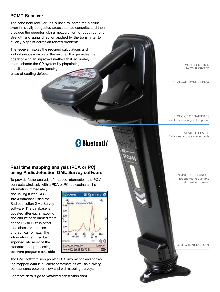### **PCM+ Receiver**

The hand held receiver unit is used to locate the pipeline, even in heavily congested areas such as conduits, and then provides the operator with a measurement of depth current strength and signal direction applied by the transmitter to quickly pinpoint corrosion related problems.

The receiver makes the required calculations and instantaneously displays the results. This provides the operator with an improved method that accurately troubleshoots the CP system by pinpointing metallic contacts and locating areas of coating defects.

MULTI-FUNCTION TACTILE KEYPAD

HIGH CONTRAST DISPLAY

CHOICE OF BATTERIES Dry cells or rechargeable options

WEATHER SEALED Earphone and accessory ports

**& Bluetooth**®

# **Real time mapping analysis (PDA or PC) using Radiodetection GML Survey software**

To provide faster analysis of mapped information, the PCM+ connects wirelessly with a PDA or PC, uploading all the

information immediately and linking it with GPS into a database using the Radiodetection GML Survey software. The database is updated after each mapping and can be seen immediately on the PC or PDA in either a database or a choice of graphical formats. The information can then be imported into most of the standard post processing software programs available.



The GML software incorporates GPS information and shows the mapped data in a variety of formats as well as allowing comparisons between new and old mapping surveys.

For more details go to www.radiodetection.com

ENGINEERED PLASTICS Ergonomic, robust and all weather housing

SELF ORIENTING FOOT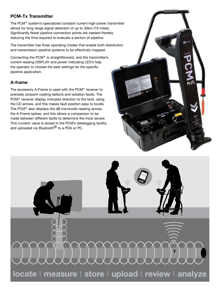# **PCM-Tx Transmitter**

The PCM+ system's specialized constant current high-power transmitter allows for long range signal detection of up to 30km (19 miles). Significantly fewer pipeline connection points are needed thereby reducing the time required to evaluate a section of pipeline.

The transmitter has three operating modes that enable both distribution and transmission pipeline systems to be effectively mapped.

Connecting the PCM+ is straightforward, and the transmitter's current reading DISPLAY and power indicating LED's help the operator to choose the best settings for the specific pipeline application.

# **A-frame**

The accessory A-Frame is used with the PCM<sup>+</sup> receiver to precisely pinpoint coating defects and isolation faults. The PCM<sup>+</sup> receiver display indicates direction to the fault, using the CD arrows, and this makes fault position easy to locate. The PCM+ also displays the dB microvolts reading across the A-Frame spikes, and this allows a comparison to be made between different faults to determine the most severe. This numeric value is stored in the PCM's datalogging facility, and uploaded via Bluetooth<sup>®</sup> to a PDA or PC.

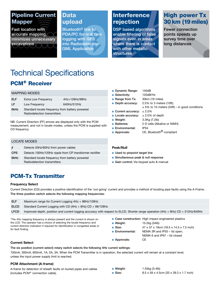# Pipeline Current Mapper

Fast location with accurate mapping, minimizes unnecessary excavations

# Data upload

Bluetooth® link to PDA/PC for real time logging with GPS into Radiodetection GML Application

# **Interference** rejection

DSP based algorithms enable filtering of false signals even in areas where there is contact with other metallic structures **b** 

# High power Tx 30 km (19 miles)

Fewer connection points speeds up survey time over long distances

# PCM+ Receiver Technical Specifications

### MAPPING MODES

| <b>ELF</b> | Extra Low Frequency                                                           | 4Hz+128Hz/98Hz |
|------------|-------------------------------------------------------------------------------|----------------|
| LF.        | Low Frequency                                                                 | 640Hz/512Hz    |
| 8kHz       | Standard locate frequency from battery powered<br>Radiodetection transmitters |                |

NB: Current Direction (FF) arrows are displayed only with the PCM measurement, and not in locate modes, unless the PCM is supplied with CD frequency.

### LOCATE MODES

| $\frac{1}{2}$ | Detects 50Hz/60Hz from power cables                                           |
|---------------|-------------------------------------------------------------------------------|
| <b>CPS</b>    | Detects 100Hz/120Hz ripple from CP transformer rectifier                      |
| 8kHz          | Standard locate frequency from battery powered<br>Radiodetection transmitters |

### Dynamic Range: 140dB

- Selectivity: 120dB/Hz
- Range from Tx: 30km (19 miles)
- **Depth accuracy:**  $2.5\%$  to 3 meters (10ft);
	- $± 5%$  to 10 meters (33ft) in good conditions
- Current accuracy:  $± 2.5%$
- Locate accuracy:  $± 2.5%$  of depth
- **Neight:** 3.3Kg (7.2lb)
- Batteries: 2 D cells (Alkaline or NiMH)
- **Environmental:** IP54
- **Approvals:** CE, Bluetooth<sup>®</sup> compliant

### **Peak/Null**

- $\blacksquare$  Used to pinpoint target line
- Simultaneous peak & null response
- Gain control: Via keypad auto & manual

# PCM-Tx Transmitter

### **Frequency Select**

Current Direction (CD) provides a positive identification of the 'out-going' current and provides a method of locating pipe faults using the A-Frame. The three position switch selects the following mapping frequencies:

| <b>ELF</b>  | Maximum range for Current Logging $4Hz + 98Hz/128Hz$                                                                             |
|-------------|----------------------------------------------------------------------------------------------------------------------------------|
| <b>ELCD</b> | Standard Current Logging with CD $(4Hz + 8Hz)$ CD + 98/128Hz                                                                     |
| <b>LFCD</b> | Improved depth, position and current logging accuracy with respect to ELCD. Shorter range operation (4Hz + 8Hz) CD + 512Hz/640Hz |
|             |                                                                                                                                  |

\*The 4Hz mapping frequency is always present and the current is shown on the LCD. The operator has a choice of selecting the locate frequency and current direction indication if required for identification in congested areas or for fault finding.

- Case construction: High impact engineered plastics
- **Neight:** 15.2kg (34lb)
- Size: 47 x 37 x 19cm (18.5 x 14.5 x 7.5 inch)
- Environmental: NEMA 3R and IP55 lid open;
- - NEMA 6 and IP67 lid closed
- **n** Approvals: CE

**Current Select**

The six position (current select) rotary switch selects the following 4Hz current settings:

100mA, 300mA, 600mA, 1A, 2A, 3A. When the PCM Transmitter is in operation, the selected current will remain at a constant level, unless the input power supply limit is reached.

### **PCM Attachment (A-frame)**

A-frame for detection of sheath faults on buried pipes and cables (includes PCM+ connection cable).

**Neight:** 1.55kg (3.4lb)

**Size:** 8.5 x 59 x 4.5cm (33 x 39.3 x 1.7 inch)